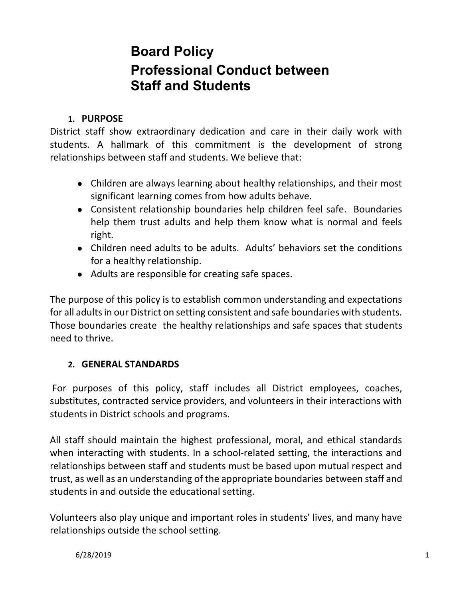#### **1. PURPOSE**

District staff show extraordinary dedication and care in their daily work with students. A hallmark of this commitment is the development of strong relationships between staff and students. We believe that:

- Children are always learning about healthy relationships, and their most significant learning comes from how adults behave.
- Consistent relationship boundaries help children feel safe. Boundaries help them trust adults and help them know what is normal and feels right.
- Children need adults to be adults. Adults' behaviors set the conditions for a healthy relationship.
- Adults are responsible for creating safe spaces.

The purpose of this policy is to establish common understanding and expectations for all adults in our District on setting consistent and safe boundaries with students. Those boundaries create the healthy relationships and safe spaces that students need to thrive.

#### **2. GENERAL STANDARDS**

For purposes of this policy, staff includes all District employees, coaches, substitutes, contracted service providers, and volunteers in their interactions with students in District schools and programs.

All staff should maintain the highest professional, moral, and ethical standards when interacting with students. In a school-related setting, the interactions and relationships between staff and students must be based upon mutual respect and trust, as well as an understanding of the appropriate boundaries between staff and students in and outside the educational setting.

Volunteers also play unique and important roles in students' lives, and many have relationships outside the school setting.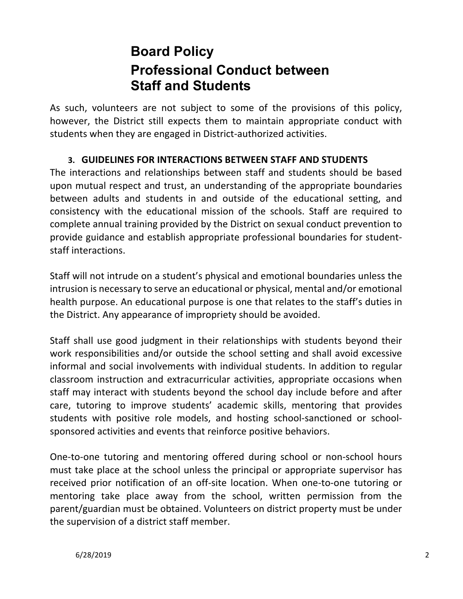As such, volunteers are not subject to some of the provisions of this policy, however, the District still expects them to maintain appropriate conduct with students when they are engaged in District-authorized activities.

### **3. GUIDELINES FOR INTERACTIONS BETWEEN STAFF AND STUDENTS**

The interactions and relationships between staff and students should be based upon mutual respect and trust, an understanding of the appropriate boundaries between adults and students in and outside of the educational setting, and consistency with the educational mission of the schools. Staff are required to complete annual training provided by the District on sexual conduct prevention to provide guidance and establish appropriate professional boundaries for studentstaff interactions.

Staff will not intrude on a student's physical and emotional boundaries unless the intrusion is necessary to serve an educational or physical, mental and/or emotional health purpose. An educational purpose is one that relates to the staff's duties in the District. Any appearance of impropriety should be avoided.

Staff shall use good judgment in their relationships with students beyond their work responsibilities and/or outside the school setting and shall avoid excessive informal and social involvements with individual students. In addition to regular classroom instruction and extracurricular activities, appropriate occasions when staff may interact with students beyond the school day include before and after care, tutoring to improve students' academic skills, mentoring that provides students with positive role models, and hosting school-sanctioned or schoolsponsored activities and events that reinforce positive behaviors.

One-to-one tutoring and mentoring offered during school or non-school hours must take place at the school unless the principal or appropriate supervisor has received prior notification of an off-site location. When one-to-one tutoring or mentoring take place away from the school, written permission from the parent/guardian must be obtained. Volunteers on district property must be under the supervision of a district staff member.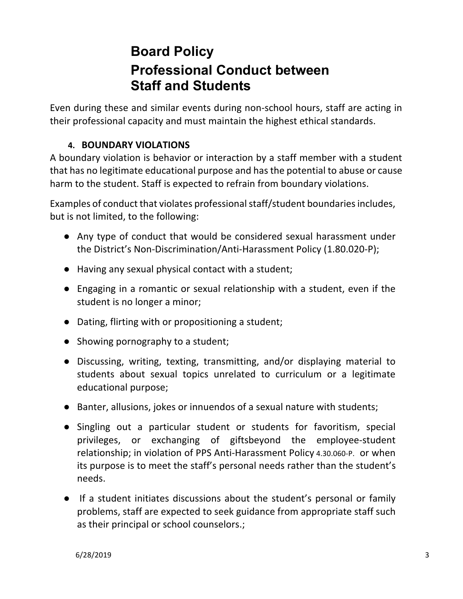Even during these and similar events during non-school hours, staff are acting in their professional capacity and must maintain the highest ethical standards.

### **4. BOUNDARY VIOLATIONS**

A boundary violation is behavior or interaction by a staff member with a student that has no legitimate educational purpose and has the potential to abuse or cause harm to the student. Staff is expected to refrain from boundary violations.

Examples of conduct that violates professional staff/student boundaries includes, but is not limited, to the following:

- Any type of conduct that would be considered sexual harassment under the District's Non-Discrimination/Anti-Harassment Policy (1.80.020-P);
- Having any sexual physical contact with a student;
- Engaging in a romantic or sexual relationship with a student, even if the student is no longer a minor;
- Dating, flirting with or propositioning a student;
- Showing pornography to a student;
- Discussing, writing, texting, transmitting, and/or displaying material to students about sexual topics unrelated to curriculum or a legitimate educational purpose;
- Banter, allusions, jokes or innuendos of a sexual nature with students;
- Singling out a particular student or students for favoritism, special privileges, or exchanging of giftsbeyond the employee-student relationship; in violation of PPS Anti-Harassment Policy 4.30.060-P. or when its purpose is to meet the staff's personal needs rather than the student's needs.
- If a student initiates discussions about the student's personal or family problems, staff are expected to seek guidance from appropriate staff such as their principal or school counselors.;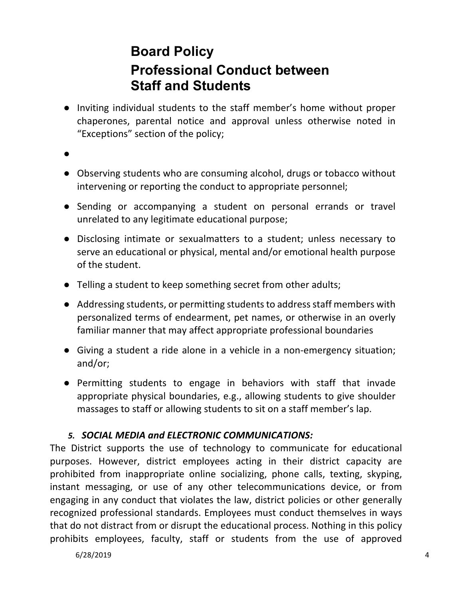- Inviting individual students to the staff member's home without proper chaperones, parental notice and approval unless otherwise noted in "Exceptions" section of the policy;
- $\bullet$
- Observing students who are consuming alcohol, drugs or tobacco without intervening or reporting the conduct to appropriate personnel;
- Sending or accompanying a student on personal errands or travel unrelated to any legitimate educational purpose;
- Disclosing intimate or sexualmatters to a student; unless necessary to serve an educational or physical, mental and/or emotional health purpose of the student.
- Telling a student to keep something secret from other adults;
- Addressing students, or permitting students to address staff members with personalized terms of endearment, pet names, or otherwise in an overly familiar manner that may affect appropriate professional boundaries
- Giving a student a ride alone in a vehicle in a non-emergency situation; and/or;
- Permitting students to engage in behaviors with staff that invade appropriate physical boundaries, e.g., allowing students to give shoulder massages to staff or allowing students to sit on a staff member's lap.

#### *5. SOCIAL MEDIA and ELECTRONIC COMMUNICATIONS:*

The District supports the use of technology to communicate for educational purposes. However, district employees acting in their district capacity are prohibited from inappropriate online socializing, phone calls, texting, skyping, instant messaging, or use of any other telecommunications device, or from engaging in any conduct that violates the law, district policies or other generally recognized professional standards. Employees must conduct themselves in ways that do not distract from or disrupt the educational process. Nothing in this policy prohibits employees, faculty, staff or students from the use of approved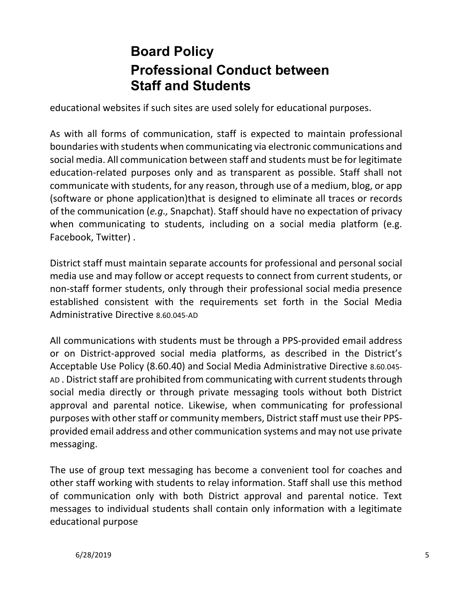educational websites if such sites are used solely for educational purposes.

As with all forms of communication, staff is expected to maintain professional boundaries with students when communicating via electronic communications and social media. All communication between staff and students must be for legitimate education-related purposes only and as transparent as possible. Staff shall not communicate with students, for any reason, through use of a medium, blog, or app (software or phone application)that is designed to eliminate all traces or records of the communication (*e.g.,* Snapchat). Staff should have no expectation of privacy when communicating to students, including on a social media platform (e.g. Facebook, Twitter).

District staff must maintain separate accounts for professional and personal social media use and may follow or accept requests to connect from current students, or non-staff former students, only through their professional social media presence established consistent with the requirements set forth in the Social Media Administrative Directive 8.60.045-AD

All communications with students must be through a PPS-provided email address or on District-approved social media platforms, as described in the District's Acceptable Use Policy (8.60.40) and Social Media Administrative Directive 8.60.045-AD. District staff are prohibited from communicating with current students through social media directly or through private messaging tools without both District approval and parental notice. Likewise, when communicating for professional purposes with other staff or community members, District staff must use their PPSprovided email address and other communication systems and may not use private messaging.

The use of group text messaging has become a convenient tool for coaches and other staff working with students to relay information. Staff shall use this method of communication only with both District approval and parental notice. Text messages to individual students shall contain only information with a legitimate educational purpose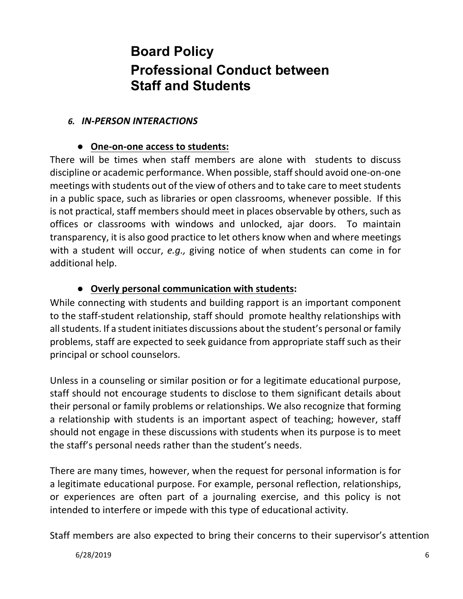#### *6. IN-PERSON INTERACTIONS*

#### ● One-on-one access to students:

There will be times when staff members are alone with students to discuss discipline or academic performance. When possible, staff should avoid one-on-one meetings with students out of the view of others and to take care to meet students in a public space, such as libraries or open classrooms, whenever possible. If this is not practical, staff members should meet in places observable by others, such as offices or classrooms with windows and unlocked, ajar doors. To maintain transparency, it is also good practice to let others know when and where meetings with a student will occur, e.g., giving notice of when students can come in for additional help.

### **• Overly personal communication with students:**

While connecting with students and building rapport is an important component to the staff-student relationship, staff should promote healthy relationships with all students. If a student initiates discussions about the student's personal or family problems, staff are expected to seek guidance from appropriate staff such as their principal or school counselors.

Unless in a counseling or similar position or for a legitimate educational purpose, staff should not encourage students to disclose to them significant details about their personal or family problems or relationships. We also recognize that forming a relationship with students is an important aspect of teaching; however, staff should not engage in these discussions with students when its purpose is to meet the staff's personal needs rather than the student's needs.

There are many times, however, when the request for personal information is for a legitimate educational purpose. For example, personal reflection, relationships, or experiences are often part of a journaling exercise, and this policy is not intended to interfere or impede with this type of educational activity.

Staff members are also expected to bring their concerns to their supervisor's attention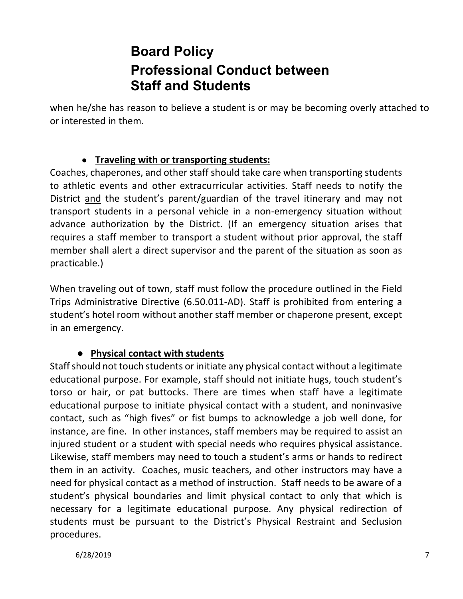when he/she has reason to believe a student is or may be becoming overly attached to or interested in them.

### ● **Traveling with or transporting students:**

Coaches, chaperones, and other staff should take care when transporting students to athletic events and other extracurricular activities. Staff needs to notify the District and the student's parent/guardian of the travel itinerary and may not transport students in a personal vehicle in a non-emergency situation without advance authorization by the District. (If an emergency situation arises that requires a staff member to transport a student without prior approval, the staff member shall alert a direct supervisor and the parent of the situation as soon as practicable.)

When traveling out of town, staff must follow the procedure outlined in the Field Trips Administrative Directive (6.50.011-AD). Staff is prohibited from entering a student's hotel room without another staff member or chaperone present, except in an emergency.

#### **•** Physical contact with students

Staff should not touch students or initiate any physical contact without a legitimate educational purpose. For example, staff should not initiate hugs, touch student's torso or hair, or pat buttocks. There are times when staff have a legitimate educational purpose to initiate physical contact with a student, and noninvasive contact, such as "high fives" or fist bumps to acknowledge a job well done, for instance, are fine. In other instances, staff members may be required to assist an injured student or a student with special needs who requires physical assistance. Likewise, staff members may need to touch a student's arms or hands to redirect them in an activity. Coaches, music teachers, and other instructors may have a need for physical contact as a method of instruction. Staff needs to be aware of a student's physical boundaries and limit physical contact to only that which is necessary for a legitimate educational purpose. Any physical redirection of students must be pursuant to the District's Physical Restraint and Seclusion procedures.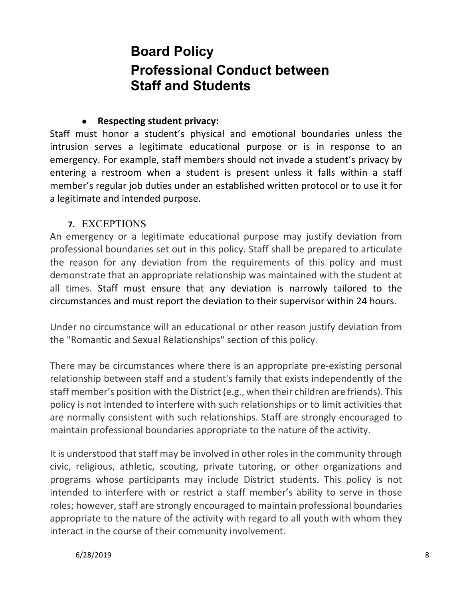### ● **Respecting student privacy:**

Staff must honor a student's physical and emotional boundaries unless the intrusion serves a legitimate educational purpose or is in response to an emergency. For example, staff members should not invade a student's privacy by entering a restroom when a student is present unless it falls within a staff member's regular job duties under an established written protocol or to use it for a legitimate and intended purpose.

### **7.** EXCEPTIONS

An emergency or a legitimate educational purpose may justify deviation from professional boundaries set out in this policy. Staff shall be prepared to articulate the reason for any deviation from the requirements of this policy and must demonstrate that an appropriate relationship was maintained with the student at all times. Staff must ensure that any deviation is narrowly tailored to the circumstances and must report the deviation to their supervisor within 24 hours.

Under no circumstance will an educational or other reason justify deviation from the "Romantic and Sexual Relationships" section of this policy.

There may be circumstances where there is an appropriate pre-existing personal relationship between staff and a student's family that exists independently of the staff member's position with the District (e.g., when their children are friends). This policy is not intended to interfere with such relationships or to limit activities that are normally consistent with such relationships. Staff are strongly encouraged to maintain professional boundaries appropriate to the nature of the activity.

It is understood that staff may be involved in other roles in the community through civic, religious, athletic, scouting, private tutoring, or other organizations and programs whose participants may include District students. This policy is not intended to interfere with or restrict a staff member's ability to serve in those roles; however, staff are strongly encouraged to maintain professional boundaries appropriate to the nature of the activity with regard to all youth with whom they interact in the course of their community involvement.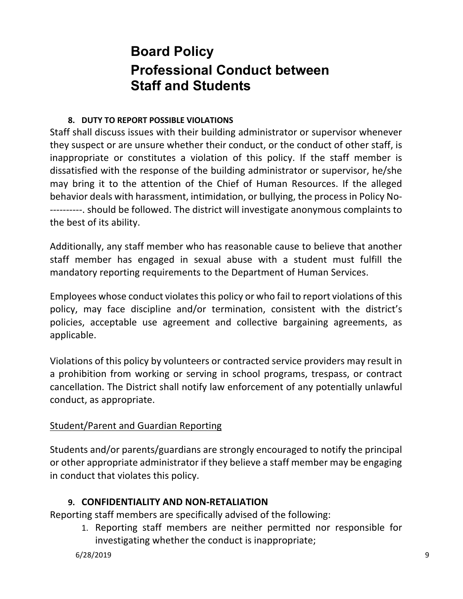#### **8. DUTY TO REPORT POSSIBLE VIOLATIONS**

Staff shall discuss issues with their building administrator or supervisor whenever they suspect or are unsure whether their conduct, or the conduct of other staff, is inappropriate or constitutes a violation of this policy. If the staff member is dissatisfied with the response of the building administrator or supervisor, he/she may bring it to the attention of the Chief of Human Resources. If the alleged behavior deals with harassment, intimidation, or bullying, the process in Policy No-----------. should be followed. The district will investigate anonymous complaints to the best of its ability.

Additionally, any staff member who has reasonable cause to believe that another staff member has engaged in sexual abuse with a student must fulfill the mandatory reporting requirements to the Department of Human Services.

Employees whose conduct violates this policy or who fail to report violations of this policy, may face discipline and/or termination, consistent with the district's policies, acceptable use agreement and collective bargaining agreements, as applicable.

Violations of this policy by volunteers or contracted service providers may result in a prohibition from working or serving in school programs, trespass, or contract cancellation. The District shall notify law enforcement of any potentially unlawful conduct, as appropriate.

#### Student/Parent and Guardian Reporting

Students and/or parents/guardians are strongly encouraged to notify the principal or other appropriate administrator if they believe a staff member may be engaging in conduct that violates this policy.

#### **9. CONFIDENTIALITY AND NON-RETALIATION**

Reporting staff members are specifically advised of the following:

1. Reporting staff members are neither permitted nor responsible for investigating whether the conduct is inappropriate;